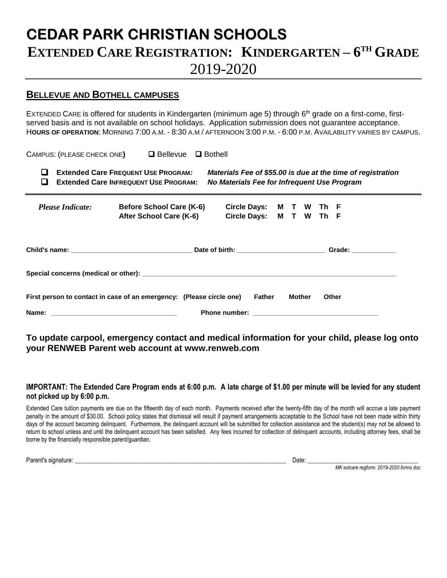## **CEDAR PARK CHRISTIAN SCHOOLS EXTENDED CARE REGISTRATION: KINDERGARTEN – 6 TH GRADE**  2019-2020

## **BELLEVUE AND BOTHELL CAMPUSES**

EXTENDED CARE is offered for students in Kindergarten (minimum age 5) through 6<sup>th</sup> grade on a first-come, firstserved basis and is not available on school holidays. Application submission does not guarantee acceptance. H**OURS OF OPERATION**: MORNING 7:00 A.M. - 8:30 A.M / AFTERNOON 3:00 P.M. - 6:00 P.M. AVAILABILITY VARIES BY CAMPUS.

CAMPUS: (PLEASE CHECK ONE**)**  Bellevue Bothell

| Extended Care FREQUENT USE PROGRAM:   | Materials Fee of \$55.00 is due at the time of registration |
|---------------------------------------|-------------------------------------------------------------|
| Extended Care INFREQUENT USE PROGRAM: | No Materials Fee for Infrequent Use Program                 |

 *Please Indicate:* **Before School Care (K-6) Circle Days: M T W Th F After School Care (K-6) Circle Days: M T W Th F**

|                                                                             |  |        | Grade: ____________ |
|-----------------------------------------------------------------------------|--|--------|---------------------|
|                                                                             |  |        |                     |
| First person to contact in case of an emergency: (Please circle one) Father |  | Mother | <b>Other</b>        |
|                                                                             |  |        |                     |

**To update carpool, emergency contact and medical information for your child, please log onto your RENWEB Parent web account at www.renweb.com**

## **IMPORTANT: The Extended Care Program ends at 6:00 p.m. A late charge of \$1.00 per minute will be levied for any student not picked up by 6:00 p.m.**

Extended Care tuition payments are due on the fifteenth day of each month. Payments received after the twenty-fifth day of the month will accrue a late payment penalty in the amount of \$30.00. School policy states that dismissal will result if payment arrangements acceptable to the School have not been made within thirty days of the account becoming delinquent. Furthermore, the delinquent account will be submitted for collection assistance and the student(s) may not be allowed to return to school unless and until the delinquent account has been satisfied. Any fees incurred for collection of delinquent accounts, including attorney fees, shall be borne by the financially responsible parent/guardian.

Parent's signature: \_\_\_\_\_\_\_\_\_\_\_\_\_\_\_\_\_\_\_\_\_\_\_\_\_\_\_\_\_\_\_\_\_\_\_\_\_\_\_\_\_\_\_\_\_\_\_\_\_\_\_\_\_\_\_\_\_\_\_\_\_\_\_\_\_\_\_ Date: \_\_\_\_\_\_\_\_\_\_\_\_\_\_\_\_\_\_\_\_\_\_\_\_\_\_\_\_\_\_\_\_\_\_\_

*MK extcare regform: 2019-2020 forms doc*